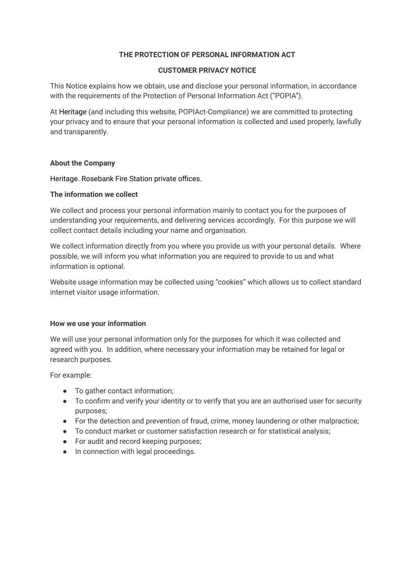# **THE PROTECTION OF PERSONAL INFORMATION ACT**

#### **CUSTOMER PRIVACY NOTICE**

This Notice explains how we obtain, use and disclose your personal information, in accordance with the requirements of the Protection of Personal Information Act ("POPIA").

At Heritage (and including this website, POPIAct-Compliance) we are committed to protecting your privacy and to ensure that your personal information is collected and used properly, lawfully and transparently.

## **About the Company**

Heritage. Rosebank Fire Station private offices.

## **The information we collect**

We collect and process your personal information mainly to contact you for the purposes of understanding your requirements, and delivering services accordingly. For this purpose we will collect contact details including your name and organisation.

We collect information directly from you where you provide us with your personal details. Where possible, we will inform you what information you are required to provide to us and what information is optional.

Website usage information may be collected using "cookies" which allows us to collect standard internet visitor usage information.

## **How we use your information**

We will use your personal information only for the purposes for which it was collected and agreed with you. In addition, where necessary your information may be retained for legal or research purposes.

For example:

- To gather contact information;
- To confirm and verify your identity or to verify that you are an authorised user for security purposes;
- For the detection and prevention of fraud, crime, money laundering or other malpractice;
- To conduct market or customer satisfaction research or for statistical analysis;
- For audit and record keeping purposes;
- In connection with legal proceedings.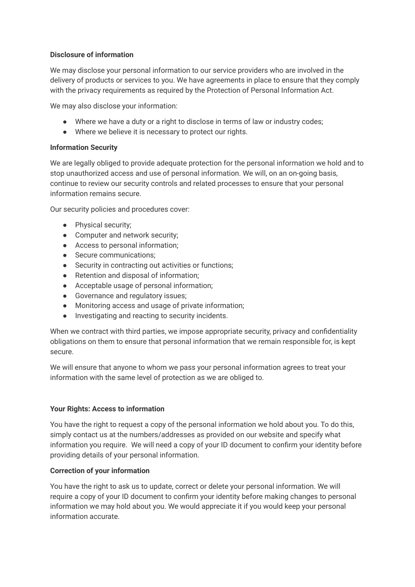# **Disclosure of information**

We may disclose your personal information to our service providers who are involved in the delivery of products or services to you. We have agreements in place to ensure that they comply with the privacy requirements as required by the Protection of Personal Information Act.

We may also disclose your information:

- Where we have a duty or a right to disclose in terms of law or industry codes;
- Where we believe it is necessary to protect our rights.

## **Information Security**

We are legally obliged to provide adequate protection for the personal information we hold and to stop unauthorized access and use of personal information. We will, on an on-going basis, continue to review our security controls and related processes to ensure that your personal information remains secure.

Our security policies and procedures cover:

- Physical security;
- Computer and network security;
- Access to personal information;
- Secure communications:
- Security in contracting out activities or functions;
- Retention and disposal of information;
- Acceptable usage of personal information;
- Governance and regulatory issues;
- Monitoring access and usage of private information;
- Investigating and reacting to security incidents.

When we contract with third parties, we impose appropriate security, privacy and confidentiality obligations on them to ensure that personal information that we remain responsible for, is kept secure.

We will ensure that anyone to whom we pass your personal information agrees to treat your information with the same level of protection as we are obliged to.

## **Your Rights: Access to information**

You have the right to request a copy of the personal information we hold about you. To do this, simply contact us at the numbers/addresses as provided on our website and specify what information you require. We will need a copy of your ID document to confirm your identity before providing details of your personal information.

## **Correction of your information**

You have the right to ask us to update, correct or delete your personal information. We will require a copy of your ID document to confirm your identity before making changes to personal information we may hold about you. We would appreciate it if you would keep your personal information accurate.